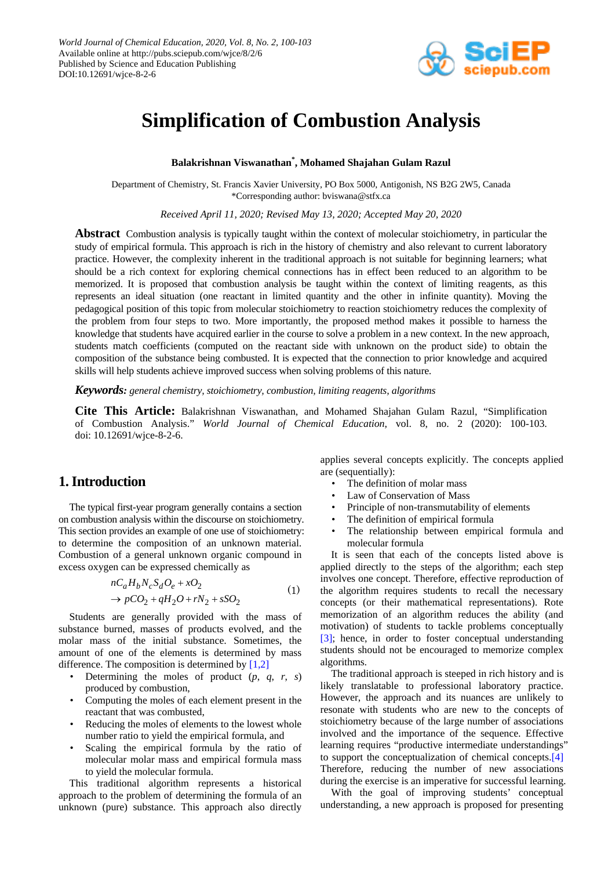

# **Simplification of Combustion Analysis**

## **Balakrishnan Viswanathan\* , Mohamed Shajahan Gulam Razul**

Department of Chemistry, St. Francis Xavier University, PO Box 5000, Antigonish, NS B2G 2W5, Canada \*Corresponding author: bviswana@stfx.ca

*Received April 11, 2020; Revised May 13, 2020; Accepted May 20, 2020*

**Abstract** Combustion analysis is typically taught within the context of molecular stoichiometry, in particular the study of empirical formula. This approach is rich in the history of chemistry and also relevant to current laboratory practice. However, the complexity inherent in the traditional approach is not suitable for beginning learners; what should be a rich context for exploring chemical connections has in effect been reduced to an algorithm to be memorized. It is proposed that combustion analysis be taught within the context of limiting reagents, as this represents an ideal situation (one reactant in limited quantity and the other in infinite quantity). Moving the pedagogical position of this topic from molecular stoichiometry to reaction stoichiometry reduces the complexity of the problem from four steps to two. More importantly, the proposed method makes it possible to harness the knowledge that students have acquired earlier in the course to solve a problem in a new context. In the new approach, students match coefficients (computed on the reactant side with unknown on the product side) to obtain the composition of the substance being combusted. It is expected that the connection to prior knowledge and acquired skills will help students achieve improved success when solving problems of this nature.

*Keywords: general chemistry, stoichiometry, combustion, limiting reagents, algorithms*

**Cite This Article:** Balakrishnan Viswanathan, and Mohamed Shajahan Gulam Razul, "Simplification of Combustion Analysis." *World Journal of Chemical Education*, vol. 8, no. 2 (2020): 100-103. doi: 10.12691/wjce-8-2-6.

# **1. Introduction**

The typical first-year program generally contains a section on combustion analysis within the discourse on stoichiometry. This section provides an example of one use of stoichiometry: to determine the composition of an unknown material. Combustion of a general unknown organic compound in excess oxygen can be expressed chemically as

$$
nC_aH_bN_cS_dO_e + xO_2
$$
  
\n
$$
\rightarrow pCO_2 + qH_2O + rN_2 + sSO_2
$$
\n(1)

Students are generally provided with the mass of substance burned, masses of products evolved, and the molar mass of the initial substance. Sometimes, the amount of one of the elements is determined by mass difference. The composition is determined by  $[1,2]$ 

- Determining the moles of product  $(p, q, r, s)$ produced by combustion,
- Computing the moles of each element present in the reactant that was combusted,
- Reducing the moles of elements to the lowest whole number ratio to yield the empirical formula, and
- Scaling the empirical formula by the ratio of molecular molar mass and empirical formula mass to yield the molecular formula.

This traditional algorithm represents a historical approach to the problem of determining the formula of an unknown (pure) substance. This approach also directly applies several concepts explicitly. The concepts applied are (sequentially):

- The definition of molar mass
- Law of Conservation of Mass
- Principle of non-transmutability of elements
- The definition of empirical formula
- The relationship between empirical formula and molecular formula

It is seen that each of the concepts listed above is applied directly to the steps of the algorithm; each step involves one concept. Therefore, effective reproduction of the algorithm requires students to recall the necessary concepts (or their mathematical representations). Rote memorization of an algorithm reduces the ability (and motivation) of students to tackle problems conceptually [\[3\];](#page-3-1) hence, in order to foster conceptual understanding students should not be encouraged to memorize complex algorithms.

The traditional approach is steeped in rich history and is likely translatable to professional laboratory practice. However, the approach and its nuances are unlikely to resonate with students who are new to the concepts of stoichiometry because of the large number of associations involved and the importance of the sequence. Effective learning requires "productive intermediate understandings" to support the conceptualization of chemical concepts[.\[4\]](#page-3-2) Therefore, reducing the number of new associations during the exercise is an imperative for successful learning.

With the goal of improving students' conceptual understanding, a new approach is proposed for presenting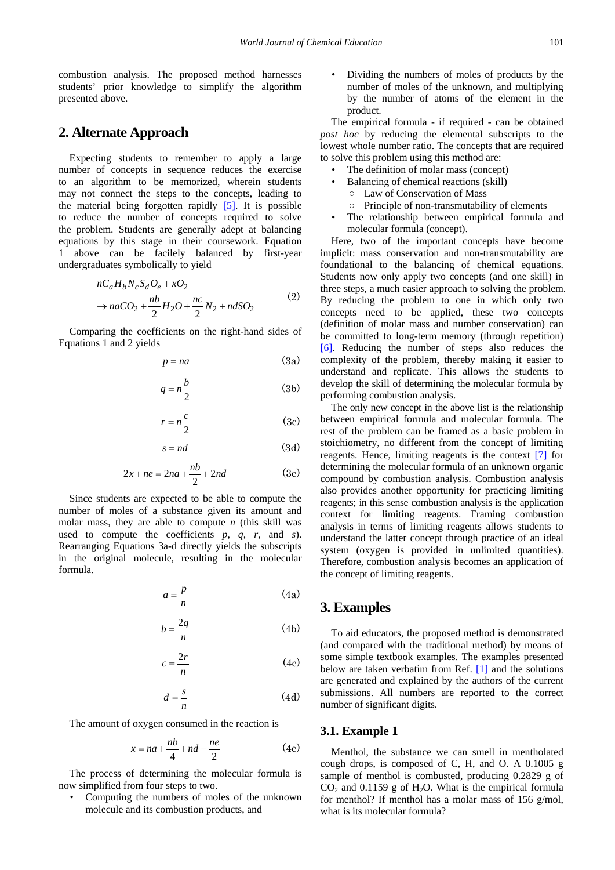combustion analysis. The proposed method harnesses students' prior knowledge to simplify the algorithm presented above.

# **2. Alternate Approach**

Expecting students to remember to apply a large number of concepts in sequence reduces the exercise to an algorithm to be memorized, wherein students may not connect the steps to the concepts, leading to the material being forgotten rapidly [\[5\].](#page-3-3) It is possible to reduce the number of concepts required to solve the problem. Students are generally adept at balancing equations by this stage in their coursework. Equation 1 above can be facilely balanced by first-year undergraduates symbolically to yield

$$
nC_aH_bN_cS_dO_e + xO_2
$$
  
\n
$$
\rightarrow naCO_2 + \frac{nb}{2}H_2O + \frac{nc}{2}N_2 + ndSO_2
$$
\n(2)

Comparing the coefficients on the right-hand sides of Equations 1 and 2 yields

$$
p = na \tag{3a}
$$

$$
q = n\frac{b}{2} \tag{3b}
$$

$$
r = n\frac{c}{2} \tag{3c}
$$

$$
s = nd \tag{3d}
$$

$$
2x + ne = 2na + \frac{nb}{2} + 2nd
$$
 (3e)

Since students are expected to be able to compute the number of moles of a substance given its amount and molar mass, they are able to compute *n* (this skill was used to compute the coefficients *p*, *q*, *r*, and *s*). Rearranging Equations 3a-d directly yields the subscripts in the original molecule, resulting in the molecular formula.

$$
a = \frac{p}{n} \tag{4a}
$$

$$
b = \frac{2q}{n} \tag{4b}
$$

$$
c = \frac{2r}{n} \tag{4c}
$$

$$
d = \frac{s}{n} \tag{4d}
$$

The amount of oxygen consumed in the reaction is

$$
x = na + \frac{nb}{4} + nd - \frac{ne}{2}
$$
 (4e)

The process of determining the molecular formula is now simplified from four steps to two.

• Computing the numbers of moles of the unknown molecule and its combustion products, and

• Dividing the numbers of moles of products by the number of moles of the unknown, and multiplying by the number of atoms of the element in the product.

The empirical formula - if required - can be obtained *post hoc* by reducing the elemental subscripts to the lowest whole number ratio. The concepts that are required to solve this problem using this method are:

- The definition of molar mass (concept)
	- Balancing of chemical reactions (skill)
	- Law of Conservation of Mass
	- Principle of non-transmutability of elements
- The relationship between empirical formula and molecular formula (concept).

Here, two of the important concepts have become implicit: mass conservation and non-transmutability are foundational to the balancing of chemical equations. Students now only apply two concepts (and one skill) in three steps, a much easier approach to solving the problem. By reducing the problem to one in which only two concepts need to be applied, these two concepts (definition of molar mass and number conservation) can be committed to long-term memory (through repetition) [\[6\].](#page-3-4) Reducing the number of steps also reduces the complexity of the problem, thereby making it easier to understand and replicate. This allows the students to develop the skill of determining the molecular formula by performing combustion analysis.

The only new concept in the above list is the relationship between empirical formula and molecular formula. The rest of the problem can be framed as a basic problem in stoichiometry, no different from the concept of limiting reagents. Hence, limiting reagents is the context [\[7\]](#page-3-5) for determining the molecular formula of an unknown organic compound by combustion analysis. Combustion analysis also provides another opportunity for practicing limiting reagents; in this sense combustion analysis is the application context for limiting reagents. Framing combustion analysis in terms of limiting reagents allows students to understand the latter concept through practice of an ideal system (oxygen is provided in unlimited quantities). Therefore, combustion analysis becomes an application of the concept of limiting reagents.

# **3. Examples**

To aid educators, the proposed method is demonstrated (and compared with the traditional method) by means of some simple textbook examples. The examples presented below are taken verbatim from Ref. [\[1\]](#page-3-0) and the solutions are generated and explained by the authors of the current submissions. All numbers are reported to the correct number of significant digits.

#### **3.1. Example 1**

Menthol, the substance we can smell in mentholated cough drops, is composed of C, H, and O. A 0.1005 g sample of menthol is combusted, producing 0.2829 g of  $CO<sub>2</sub>$  and 0.1159 g of H<sub>2</sub>O. What is the empirical formula for menthol? If menthol has a molar mass of 156 g/mol, what is its molecular formula?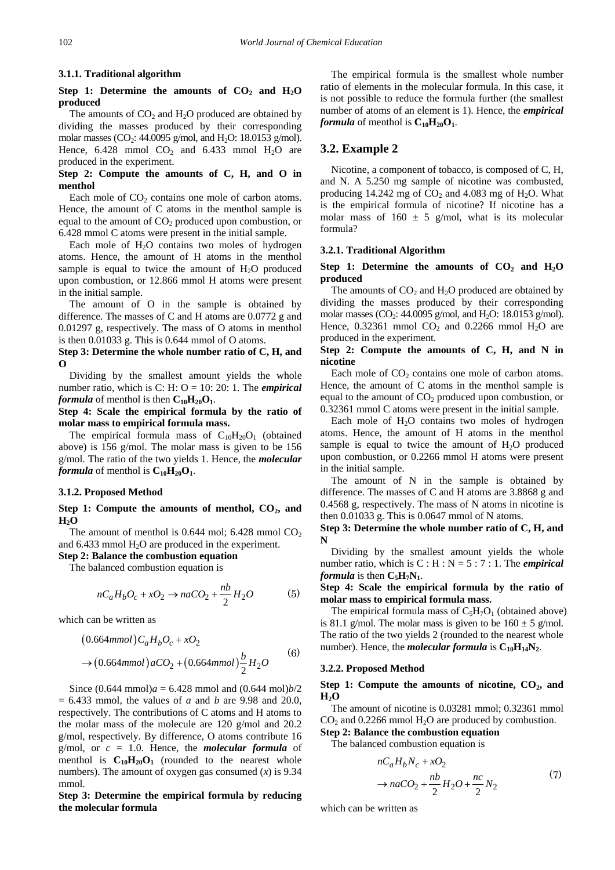#### **3.1.1. Traditional algorithm**

## Step 1: Determine the amounts of  $CO<sub>2</sub>$  and  $H<sub>2</sub>O$ **produced**

The amounts of  $CO<sub>2</sub>$  and  $H<sub>2</sub>O$  produced are obtained by dividing the masses produced by their corresponding molar masses ( $CO_2$ : 44.0095 g/mol, and H<sub>2</sub>O: 18.0153 g/mol). Hence,  $6.428$  mmol  $CO<sub>2</sub>$  and  $6.433$  mmol  $H<sub>2</sub>O$  are produced in the experiment.

#### **Step 2: Compute the amounts of C, H, and O in menthol**

Each mole of  $CO<sub>2</sub>$  contains one mole of carbon atoms. Hence, the amount of C atoms in the menthol sample is equal to the amount of CO<sub>2</sub> produced upon combustion, or 6.428 mmol C atoms were present in the initial sample.

Each mole of  $H<sub>2</sub>O$  contains two moles of hydrogen atoms. Hence, the amount of H atoms in the menthol sample is equal to twice the amount of  $H_2O$  produced upon combustion, or 12.866 mmol H atoms were present in the initial sample.

The amount of O in the sample is obtained by difference. The masses of C and H atoms are 0.0772 g and 0.01297 g, respectively. The mass of O atoms in menthol is then 0.01033 g. This is 0.644 mmol of O atoms.

#### **Step 3: Determine the whole number ratio of C, H, and O**

Dividing by the smallest amount yields the whole number ratio, which is C: H: O = 10: 20: 1. The *empirical formula* of menthol is then  $C_{10}H_{20}O_1$ .

**Step 4: Scale the empirical formula by the ratio of molar mass to empirical formula mass.** 

The empirical formula mass of  $C_{10}H_{20}O_1$  (obtained above) is 156 g/mol. The molar mass is given to be 156 g/mol. The ratio of the two yields 1. Hence, the *molecular formula* of menthol is  $C_{10}H_{20}O_1$ .

#### **3.1.2. Proposed Method**

#### Step 1: Compute the amounts of menthol, CO<sub>2</sub>, and  $H_2O$

The amount of menthol is  $0.644$  mol;  $6.428$  mmol  $CO<sub>2</sub>$ and 6.433 mmol  $H_2O$  are produced in the experiment.

**Step 2: Balance the combustion equation** The balanced combustion equation is

$$
nC_aH_bO_c + xO_2 \rightarrow naCO_2 + \frac{nb}{2}H_2O
$$
 (5)

which can be written as

$$
(0.664mmol)C_aH_bO_c + xO_2
$$
  
\n
$$
\rightarrow (0.664mmol)aCO_2 + (0.664mmol)\frac{b}{2}H_2O
$$
 (6)

Since  $(0.644 \text{ mmol})a = 6.428 \text{ mmol}$  and  $(0.644 \text{ mol})b/2$ = 6.433 mmol, the values of *a* and *b* are 9.98 and 20.0, respectively. The contributions of C atoms and H atoms to the molar mass of the molecule are 120 g/mol and 20.2 g/mol, respectively. By difference, O atoms contribute 16 g/mol, or  $c = 1.0$ . Hence, the *molecular formula* of menthol is  $C_{10}H_{20}O_1$  (rounded to the nearest whole numbers). The amount of oxygen gas consumed  $(x)$  is 9.34 mmol.

#### **Step 3: Determine the empirical formula by reducing the molecular formula**

The empirical formula is the smallest whole number ratio of elements in the molecular formula. In this case, it is not possible to reduce the formula further (the smallest number of atoms of an element is 1). Hence, the *empirical formula* of menthol is  $C_{10}H_{20}O_1$ .

## **3.2. Example 2**

Nicotine, a component of tobacco, is composed of C, H, and N. A 5.250 mg sample of nicotine was combusted, producing 14.242 mg of  $CO_2$  and 4.083 mg of H<sub>2</sub>O. What is the empirical formula of nicotine? If nicotine has a molar mass of  $160 \pm 5$  g/mol, what is its molecular formula?

#### **3.2.1. Traditional Algorithm**

#### Step 1: Determine the amounts of  $CO<sub>2</sub>$  and  $H<sub>2</sub>O$ **produced**

The amounts of  $CO<sub>2</sub>$  and  $H<sub>2</sub>O$  produced are obtained by dividing the masses produced by their corresponding molar masses (CO<sub>2</sub>: 44.0095 g/mol, and H<sub>2</sub>O: 18.0153 g/mol). Hence,  $0.32361$  mmol CO<sub>2</sub> and  $0.2266$  mmol H<sub>2</sub>O are produced in the experiment.

#### **Step 2: Compute the amounts of C, H, and N in nicotine**

Each mole of  $CO<sub>2</sub>$  contains one mole of carbon atoms. Hence, the amount of C atoms in the menthol sample is equal to the amount of  $CO<sub>2</sub>$  produced upon combustion, or 0.32361 mmol C atoms were present in the initial sample.

Each mole of  $H_2O$  contains two moles of hydrogen atoms. Hence, the amount of H atoms in the menthol sample is equal to twice the amount of  $H_2O$  produced upon combustion, or 0.2266 mmol H atoms were present in the initial sample.

The amount of N in the sample is obtained by difference. The masses of C and H atoms are 3.8868 g and 0.4568 g, respectively. The mass of N atoms in nicotine is then 0.01033 g. This is 0.0647 mmol of N atoms.

**Step 3: Determine the whole number ratio of C, H, and N**

Dividing by the smallest amount yields the whole number ratio, which is  $C : H : N = 5 : 7 : 1$ . The *empirical formula* is then  $C_5H_7N_1$ .

**Step 4: Scale the empirical formula by the ratio of molar mass to empirical formula mass.** 

The empirical formula mass of  $C_5H_7O_1$  (obtained above) is 81.1 g/mol. The molar mass is given to be  $160 \pm 5$  g/mol. The ratio of the two yields 2 (rounded to the nearest whole number). Hence, the *molecular formula* is  $C_{10}H_{14}N_2$ .

#### **3.2.2. Proposed Method**

#### Step 1: Compute the amounts of nicotine, CO<sub>2</sub>, and  $H_2O$

The amount of nicotine is 0.03281 mmol; 0.32361 mmol  $CO<sub>2</sub>$  and 0.2266 mmol  $H<sub>2</sub>O$  are produced by combustion.

**Step 2: Balance the combustion equation**

The balanced combustion equation is

$$
nC_aH_bN_c + xO_2
$$
  
\n
$$
\rightarrow naCO_2 + \frac{nb}{2}H_2O + \frac{nc}{2}N_2
$$
\n(7)

which can be written as